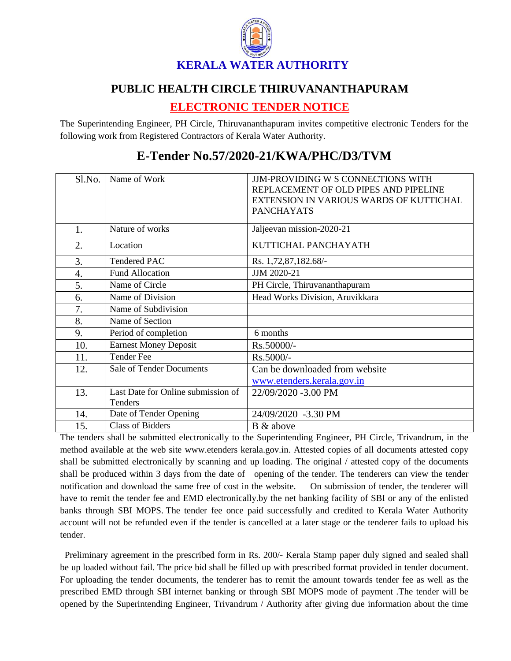

## **PUBLIC HEALTH CIRCLE THIRUVANANTHAPURAM**

## **ELECTRONIC TENDER NOTICE**

The Superintending Engineer, PH Circle, Thiruvananthapuram invites competitive electronic Tenders for the following work from Registered Contractors of Kerala Water Authority.

| Sl.No. | Name of Work                                  | <b>JJM-PROVIDING W S CONNECTIONS WITH</b><br>REPLACEMENT OF OLD PIPES AND PIPELINE<br>EXTENSION IN VARIOUS WARDS OF KUTTICHAL<br><b>PANCHAYATS</b> |
|--------|-----------------------------------------------|----------------------------------------------------------------------------------------------------------------------------------------------------|
| 1.     | Nature of works                               | Jaljeevan mission-2020-21                                                                                                                          |
| 2.     | Location                                      | KUTTICHAL PANCHAYATH                                                                                                                               |
| 3.     | <b>Tendered PAC</b>                           | Rs. 1,72,87,182.68/-                                                                                                                               |
| 4.     | <b>Fund Allocation</b>                        | JJM 2020-21                                                                                                                                        |
| 5.     | Name of Circle                                | PH Circle, Thiruvananthapuram                                                                                                                      |
| 6.     | Name of Division                              | Head Works Division, Aruvikkara                                                                                                                    |
| 7.     | Name of Subdivision                           |                                                                                                                                                    |
| 8.     | Name of Section                               |                                                                                                                                                    |
| 9.     | Period of completion                          | 6 months                                                                                                                                           |
| 10.    | <b>Earnest Money Deposit</b>                  | Rs.50000/-                                                                                                                                         |
| 11.    | <b>Tender Fee</b>                             | Rs.5000/-                                                                                                                                          |
| 12.    | <b>Sale of Tender Documents</b>               | Can be downloaded from website                                                                                                                     |
|        |                                               | www.etenders.kerala.gov.in                                                                                                                         |
| 13.    | Last Date for Online submission of<br>Tenders | 22/09/2020 -3.00 PM                                                                                                                                |
| 14.    | Date of Tender Opening                        | 24/09/2020 -3.30 PM                                                                                                                                |
| 15.    | <b>Class of Bidders</b>                       | B & above                                                                                                                                          |

## **E-Tender No.57/2020-21/KWA/PHC/D3/TVM**

The tenders shall be submitted electronically to the Superintending Engineer, PH Circle, Trivandrum, in the method available at the web site www.etenders kerala.gov.in. Attested copies of all documents attested copy shall be submitted electronically by scanning and up loading. The original / attested copy of the documents shall be produced within 3 days from the date of opening of the tender. The tenderers can view the tender notification and download the same free of cost in the website. On submission of tender, the tenderer will have to remit the tender fee and EMD electronically.by the net banking facility of SBI or any of the enlisted banks through SBI MOPS. The tender fee once paid successfully and credited to Kerala Water Authority account will not be refunded even if the tender is cancelled at a later stage or the tenderer fails to upload his tender.

 Preliminary agreement in the prescribed form in Rs. 200/- Kerala Stamp paper duly signed and sealed shall be up loaded without fail. The price bid shall be filled up with prescribed format provided in tender document. For uploading the tender documents, the tenderer has to remit the amount towards tender fee as well as the prescribed EMD through SBI internet banking or through SBI MOPS mode of payment .The tender will be opened by the Superintending Engineer, Trivandrum / Authority after giving due information about the time